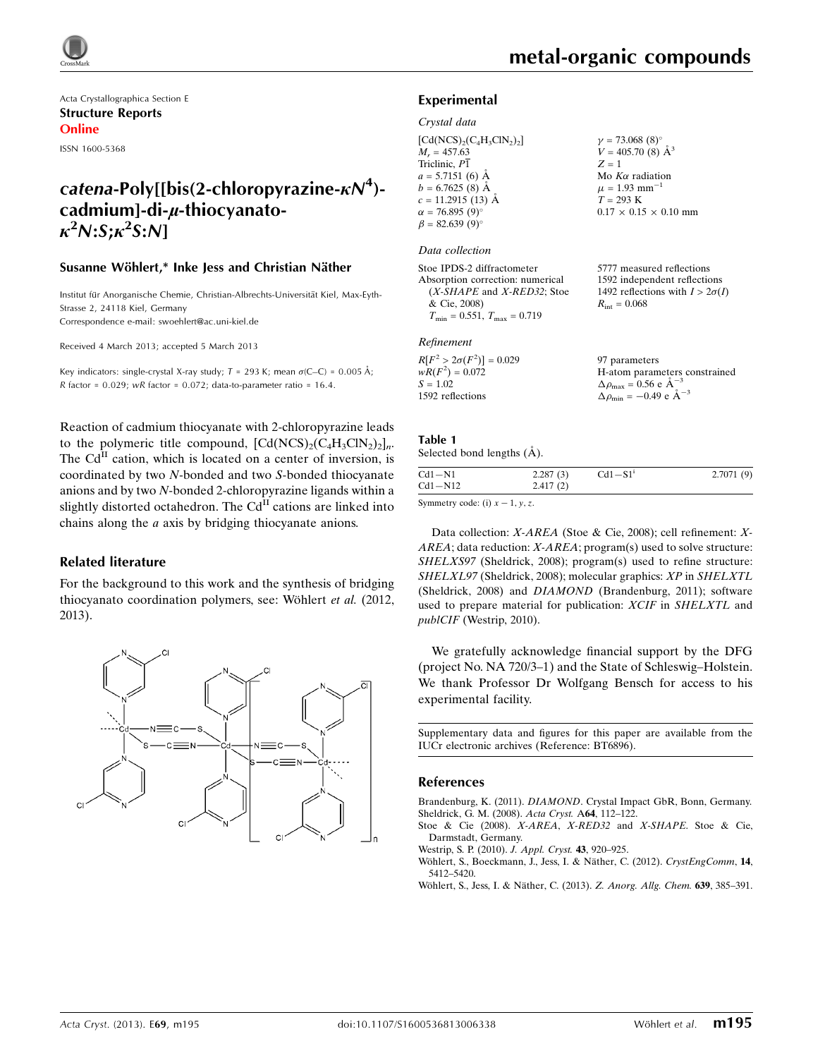

Acta Crystallographica Section E Structure Reports Online

ISSN 1600-5368

# catena-Poly[[bis(2-chloropyrazine- $\kappa N^4$ )cadmium]-di-µ-thiocyanato- $\kappa^2 N$ :S; $\kappa^2$ S:N]

### Susanne Wöhlert,\* Inke Jess and Christian Näther

Institut für Anorganische Chemie, Christian-Albrechts-Universität Kiel, Max-Eyth-Strasse 2, 24118 Kiel, Germany Correspondence e-mail: [swoehlert@ac.uni-kiel.de](https://scripts.iucr.org/cgi-bin/cr.cgi?rm=pdfbb&cnor=bt6896&bbid=BB6)

Received 4 March 2013; accepted 5 March 2013

Key indicators: single-crystal X-ray study;  $T$  = 293 K; mean  $\sigma$ (C–C) = 0.005 Å; R factor =  $0.029$ ; wR factor =  $0.072$ ; data-to-parameter ratio = 16.4.

Reaction of cadmium thiocyanate with 2-chloropyrazine leads to the polymeric title compound,  $[\text{Cd}(\text{NCS})_2(\text{C}_4\text{H}_3\text{C}\text{N}_2)_2]_n$ . The  $Cd<sup>H</sup>$  cation, which is located on a center of inversion, is coordinated by two N-bonded and two S-bonded thiocyanate anions and by two N-bonded 2-chloropyrazine ligands within a slightly distorted octahedron. The  $Cd<sup>H</sup>$  cations are linked into chains along the a axis by bridging thiocyanate anions.

### Related literature

For the background to this work and the synthesis of bridging thiocyanato coordination polymers, see: Wöhlert et al. (2012, 2013).



5777 measured reflections 1592 independent reflections 1492 reflections with  $I > 2\sigma(I)$ 

 $R_{\text{int}} = 0.068$ 

### Experimental

#### Crystal data

| $[\text{Cd}(\text{NCS})_2(\text{C}_4\text{H}_3\text{ClN}_2)_2]$ |                                                                |
|-----------------------------------------------------------------|----------------------------------------------------------------|
| $M_r = 457.63$                                                  | $\gamma = 73.068$ (8) <sup>o</sup><br>$V = 405.70$ (8) $\AA^3$ |
| Triclinic, $P\overline{1}$                                      | $Z = 1$                                                        |
| $a = 5.7151(6)$ Å                                               | Mo $K\alpha$ radiation                                         |
| $b = 6.7625(8)$ Å                                               | $\mu = 1.93$ mm <sup>-1</sup>                                  |
| $c = 11.2915$ (13) Å                                            | $T = 293 \text{ K}$                                            |
| $\alpha = 76.895(9)^{\circ}$                                    | $0.17 \times 0.15 \times 0.10$ mm                              |
| $\beta = 82.639(9)$ °                                           |                                                                |
|                                                                 |                                                                |

#### Data collection

| Stoe IPDS-2 diffractometer           |
|--------------------------------------|
| Absorption correction: numerical     |
| (X-SHAPE and X-RED32; Stoe           |
| & Cie, 2008)                         |
| $T_{\min} = 0.551, T_{\max} = 0.719$ |

### Refinement

| $R[F^2 > 2\sigma(F^2)] = 0.029$ | 97 parameters                                      |
|---------------------------------|----------------------------------------------------|
| $wR(F^2) = 0.072$               | H-atom parameters constrained                      |
| $S = 1.02$                      | $\Delta \rho_{\text{max}} = 0.56 \text{ e A}^{-3}$ |
| 1592 reflections                | $\Delta \rho_{\text{min}} = -0.49$ e $\AA^{-3}$    |

### Table 1

| Selected bond lengths (A). |  |  |
|----------------------------|--|--|
|                            |  |  |

| 2.7071(9) |
|-----------|
|           |

Symmetry code: (i)  $x - 1$ , y, z.

Data collection: X-AREA (Stoe & Cie, 2008); cell refinement: X- $AREA$ ; data reduction:  $X-AREA$ ; program(s) used to solve structure: SHELXS97 (Sheldrick, 2008); program(s) used to refine structure: SHELXL97 (Sheldrick, 2008); molecular graphics: XP in SHELXTL (Sheldrick, 2008) and DIAMOND (Brandenburg, 2011); software used to prepare material for publication: XCIF in SHELXTL and publCIF (Westrip, 2010).

We gratefully acknowledge financial support by the DFG (project No. NA 720/3–1) and the State of Schleswig–Holstein. We thank Professor Dr Wolfgang Bensch for access to his experimental facility.

Supplementary data and figures for this paper are available from the IUCr electronic archives (Reference: BT6896).

### References

Brandenburg, K. (2011). DIAMOND[. Crystal Impact GbR, Bonn, Germany.](https://scripts.iucr.org/cgi-bin/cr.cgi?rm=pdfbb&cnor=bt6896&bbid=BB1) [Sheldrick, G. M. \(2008\).](https://scripts.iucr.org/cgi-bin/cr.cgi?rm=pdfbb&cnor=bt6896&bbid=BB2) Acta Cryst. A64, 112–122.

[Stoe & Cie \(2008\).](https://scripts.iucr.org/cgi-bin/cr.cgi?rm=pdfbb&cnor=bt6896&bbid=BB3) X-AREA, X-RED32 and X-SHAPE. Stoe & Cie, [Darmstadt, Germany.](https://scripts.iucr.org/cgi-bin/cr.cgi?rm=pdfbb&cnor=bt6896&bbid=BB3)

- [Westrip, S. P. \(2010\).](https://scripts.iucr.org/cgi-bin/cr.cgi?rm=pdfbb&cnor=bt6896&bbid=BB4) J. Appl. Cryst. 43, 920-925.
- Wöhlert, S., Boeckmann, J., Jess, I. & Näther, C. (2012). CrystEngComm, 14, [5412–5420.](https://scripts.iucr.org/cgi-bin/cr.cgi?rm=pdfbb&cnor=bt6896&bbid=BB5)
- Wöhlert, S., Jess, I. & Näther, C. (2013). Z. Anorg. Allg. Chem. 639, 385-391.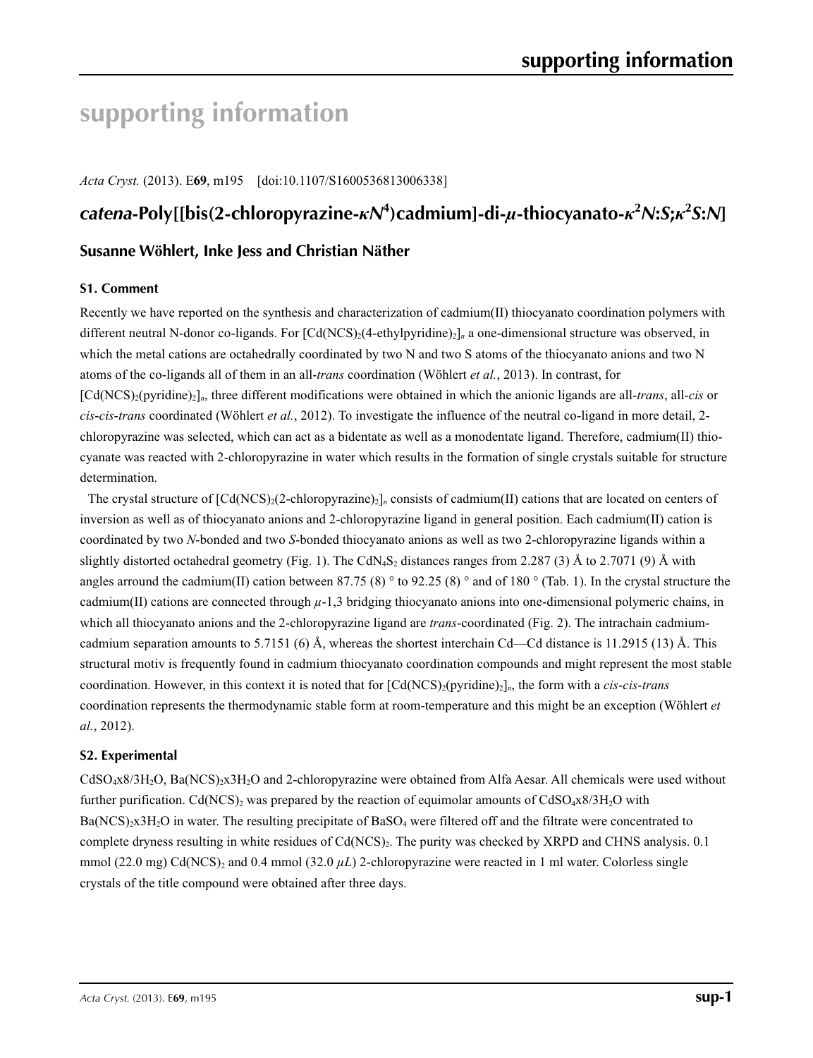# **supporting information**

*Acta Cryst.* (2013). E**69**, m195 [doi:10.1107/S1600536813006338]

# *catena***-Poly[[bis(2-chloropyrazine-***κN***<sup>4</sup> )cadmium]-di-***µ***-thiocyanato-***κ***<sup>2</sup>** *N***:***S***;***κ***<sup>2</sup>** *S***:***N***]**

# **Susanne Wöhlert, Inke Jess and Christian Näther**

## **S1. Comment**

Recently we have reported on the synthesis and characterization of cadmium(II) thiocyanato coordination polymers with different neutral N-donor co-ligands. For  $\lceil \text{Cd}(NCS)\rceil_2(4-\text{ethylpyridine})_2\rceil_n$  a one-dimensional structure was observed, in which the metal cations are octahedrally coordinated by two N and two S atoms of the thiocyanato anions and two N atoms of the co-ligands all of them in an all-*trans* coordination (Wöhlert *et al.*, 2013). In contrast, for [Cd(NCS)2(pyridine)2]*n*, three different modifications were obtained in which the anionic ligands are all-*trans*, all-*cis* or *cis*-*cis*-*trans* coordinated (Wöhlert *et al.*, 2012). To investigate the influence of the neutral co-ligand in more detail, 2 chloropyrazine was selected, which can act as a bidentate as well as a monodentate ligand. Therefore, cadmium(II) thiocyanate was reacted with 2-chloropyrazine in water which results in the formation of single crystals suitable for structure determination.

The crystal structure of  $\text{[Cd/NCS)}_2(2\text{-chloropyrazine})_2\text{]}_n$  consists of cadmium(II) cations that are located on centers of inversion as well as of thiocyanato anions and 2-chloropyrazine ligand in general position. Each cadmium(II) cation is coordinated by two *N*-bonded and two *S*-bonded thiocyanato anions as well as two 2-chloropyrazine ligands within a slightly distorted octahedral geometry (Fig. 1). The CdN<sub>4</sub>S<sub>2</sub> distances ranges from 2.287 (3) Å to 2.7071 (9) Å with angles arround the cadmium(II) cation between 87.75 (8)  $\degree$  to 92.25 (8)  $\degree$  and of 180  $\degree$  (Tab. 1). In the crystal structure the cadmium(II) cations are connected through  $\mu$ -1,3 bridging thiocyanato anions into one-dimensional polymeric chains, in which all thiocyanato anions and the 2-chloropyrazine ligand are *trans*-coordinated (Fig. 2). The intrachain cadmiumcadmium separation amounts to 5.7151 (6) Å, whereas the shortest interchain Cd—Cd distance is 11.2915 (13) Å. This structural motiv is frequently found in cadmium thiocyanato coordination compounds and might represent the most stable coordination. However, in this context it is noted that for  $\lceil \text{Cd(NCS)}_2(\text{pyridine})_2 \rceil$ <sub>*n*</sub>, the form with a *cis-cis-trans* coordination represents the thermodynamic stable form at room-temperature and this might be an exception (Wöhlert *et al.*, 2012).

# **S2. Experimental**

CdSO<sub>4</sub>x8/3H<sub>2</sub>O, Ba(NCS)<sub>2</sub>x3H<sub>2</sub>O and 2-chloropyrazine were obtained from Alfa Aesar. All chemicals were used without further purification. Cd(NCS)<sub>2</sub> was prepared by the reaction of equimolar amounts of CdSO<sub>4</sub>x8/3H<sub>2</sub>O with Ba(NCS)<sub>2</sub>x3H<sub>2</sub>O in water. The resulting precipitate of BaSO<sub>4</sub> were filtered off and the filtrate were concentrated to complete dryness resulting in white residues of Cd(NCS)<sub>2</sub>. The purity was checked by XRPD and CHNS analysis. 0.1 mmol (22.0 mg) Cd(NCS)<sub>2</sub> and 0.4 mmol (32.0  $\mu$ L) 2-chloropyrazine were reacted in 1 ml water. Colorless single crystals of the title compound were obtained after three days.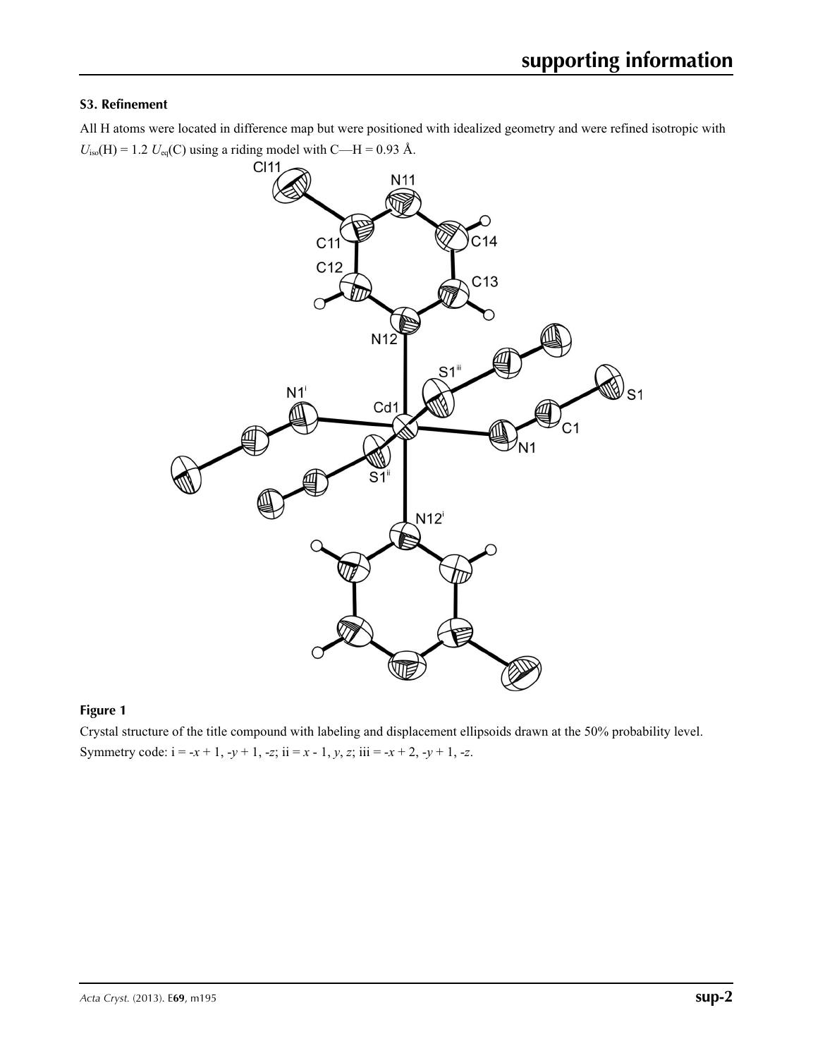# **S3. Refinement**

All H atoms were located in difference map but were positioned with idealized geometry and were refined isotropic with  $U_{\text{iso}}(H) = 1.2 U_{\text{eq}}(C)$  using a riding model with C—H = 0.93 Å.



# **Figure 1**

Crystal structure of the title compound with labeling and displacement ellipsoids drawn at the 50% probability level. Symmetry code:  $i = -x + 1, -y + 1, -z$ ;  $ii = x - 1, y, z$ ;  $iii = -x + 2, -y + 1, -z$ .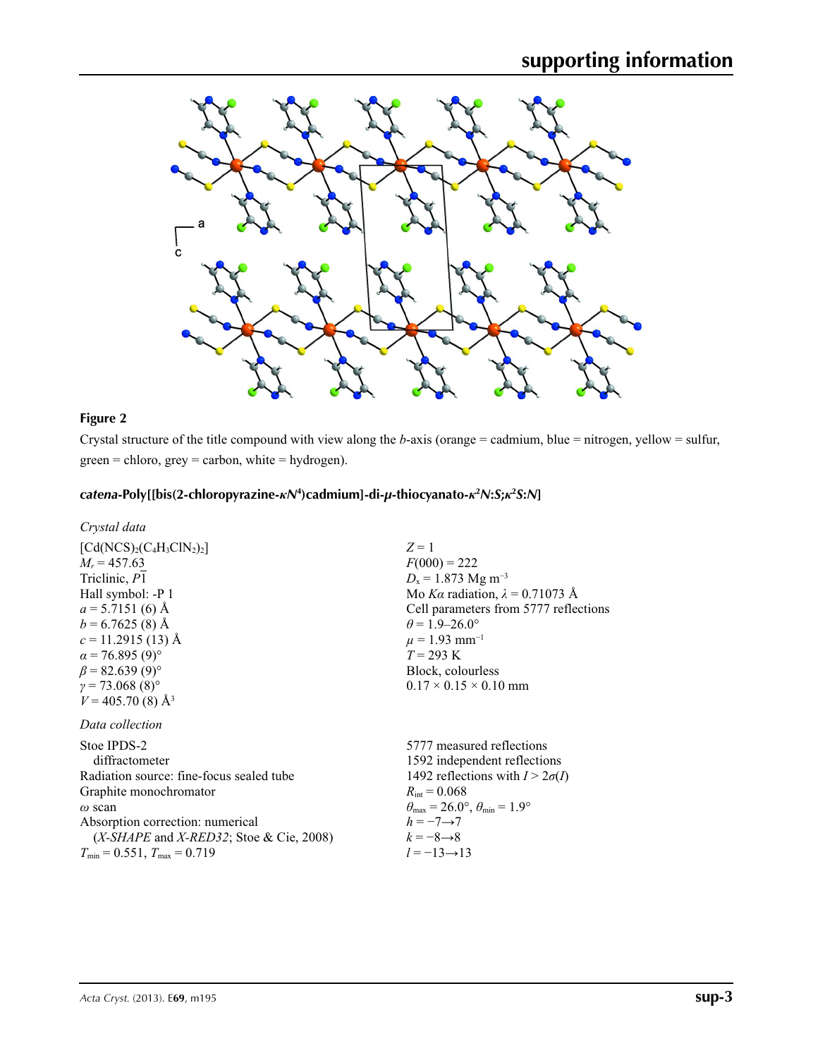

# **Figure 2**

Crystal structure of the title compound with view along the *b*-axis (orange = cadmium, blue = nitrogen, yellow = sulfur,  $green =$  chloro,  $grey =$  carbon, white = hydrogen).

# *catena***-Poly[[bis(2-chloropyrazine-***κN***<sup>4</sup> )cadmium]-di-***µ***-thiocyanato-***κ***<sup>2</sup>** *N***:***S***;***κ***<sup>2</sup>** *S***:***N***]**

| Crystal data |  |
|--------------|--|
|--------------|--|

| $[Cd(NCS)2(C4H3ClN2)2]$                                                           | $Z=1$                                                                   |
|-----------------------------------------------------------------------------------|-------------------------------------------------------------------------|
| $M_r = 457.63$                                                                    | $F(000) = 222$                                                          |
| Triclinic, P1                                                                     | $D_x = 1.873$ Mg m <sup>-3</sup>                                        |
| Hall symbol: -P 1                                                                 | Mo Ka radiation, $\lambda = 0.71073$ Å                                  |
| $a = 5.7151(6)$ Å                                                                 | Cell parameters from 5777 reflections                                   |
| $b = 6.7625(8)$ Å                                                                 | $\theta$ = 1.9–26.0°                                                    |
| $c = 11.2915(13)$ Å                                                               | $\mu = 1.93$ mm <sup>-1</sup>                                           |
| $\alpha$ = 76.895 (9) <sup>o</sup>                                                | $T = 293 \text{ K}$                                                     |
| $\beta$ = 82.639 (9) <sup>o</sup>                                                 | Block, colourless                                                       |
| $\gamma = 73.068(8)^{\circ}$                                                      | $0.17 \times 0.15 \times 0.10$ mm                                       |
| $V = 405.70(8)$ Å <sup>3</sup>                                                    |                                                                         |
| Data collection                                                                   |                                                                         |
| Stoe IPDS-2                                                                       | 5777 measured reflections                                               |
| diffractometer                                                                    | 1592 independent reflections                                            |
| Radiation source: fine-focus sealed tube                                          | 1492 reflections with $I > 2\sigma(I)$                                  |
| Graphite monochromator                                                            | $R_{\rm int} = 0.068$                                                   |
| $\omega$ scan                                                                     | $\theta_{\text{max}} = 26.0^{\circ}, \theta_{\text{min}} = 1.9^{\circ}$ |
| Absorption correction: numerical                                                  | $h = -7 \rightarrow 7$                                                  |
| $(X\text{-}SHAPE \text{ and } X\text{-}RED32; \text{Store } \& \text{Cie}, 2008)$ | $k = -8 \rightarrow 8$                                                  |
| $T_{\min}$ = 0.551, $T_{\max}$ = 0.719                                            | $l = -13 \rightarrow 13$                                                |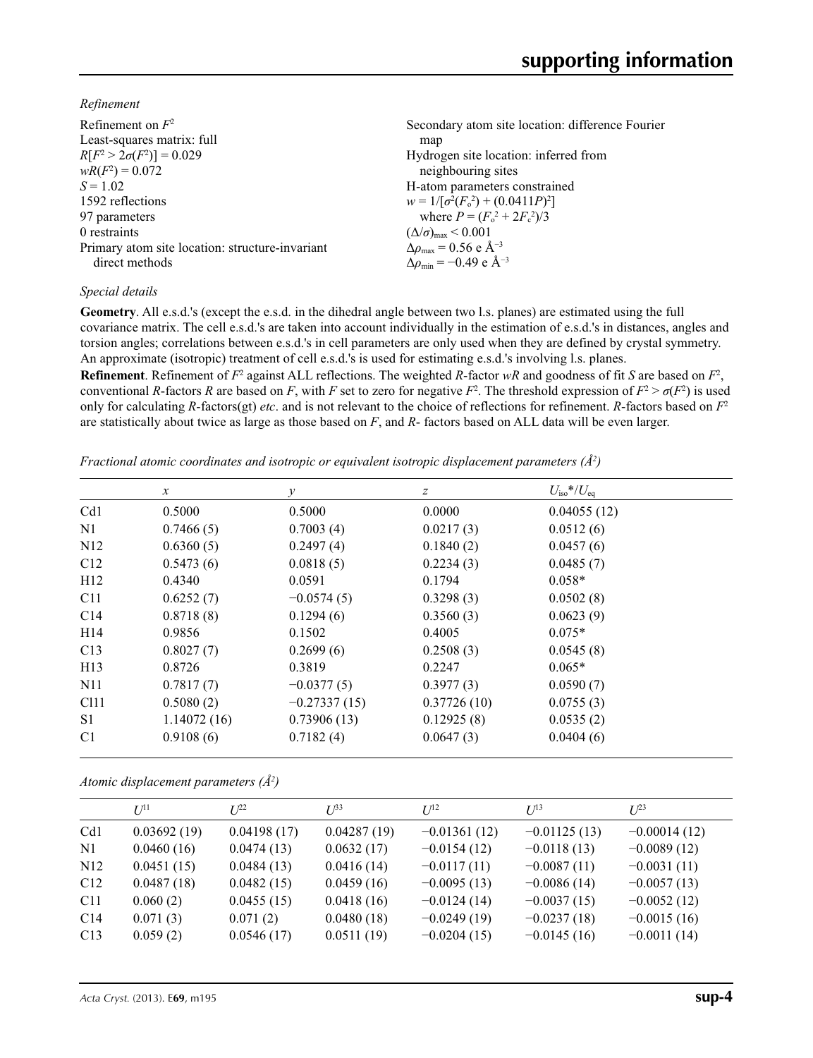*Refinement*

| Refinement on $F^2$                             | Secondary atom site location: difference Fourier |
|-------------------------------------------------|--------------------------------------------------|
| Least-squares matrix: full                      | map                                              |
| $R[F^2 > 2\sigma(F^2)] = 0.029$                 | Hydrogen site location: inferred from            |
| $wR(F^2) = 0.072$                               | neighbouring sites                               |
| $S = 1.02$                                      | H-atom parameters constrained                    |
| 1592 reflections                                | $w = 1/[\sigma^2(F_0^2) + (0.0411P)^2]$          |
| 97 parameters                                   | where $P = (F_o^2 + 2F_c^2)/3$                   |
| 0 restraints                                    | $(\Delta/\sigma)_{\text{max}}$ < 0.001           |
| Primary atom site location: structure-invariant | $\Delta \rho_{\rm max} = 0.56$ e Å <sup>-3</sup> |
| direct methods                                  | $\Delta\rho_{\rm min} = -0.49$ e Å <sup>-3</sup> |

## *Special details*

**Geometry**. All e.s.d.'s (except the e.s.d. in the dihedral angle between two l.s. planes) are estimated using the full covariance matrix. The cell e.s.d.'s are taken into account individually in the estimation of e.s.d.'s in distances, angles and torsion angles; correlations between e.s.d.'s in cell parameters are only used when they are defined by crystal symmetry. An approximate (isotropic) treatment of cell e.s.d.'s is used for estimating e.s.d.'s involving l.s. planes.

**Refinement**. Refinement of  $F^2$  against ALL reflections. The weighted *R*-factor  $wR$  and goodness of fit *S* are based on  $F^2$ , conventional *R*-factors *R* are based on *F*, with *F* set to zero for negative *F*<sup>2</sup>. The threshold expression of  $F^2 > \sigma(F^2)$  is used only for calculating *R*-factors(gt) *etc*. and is not relevant to the choice of reflections for refinement. *R*-factors based on *F*<sup>2</sup> are statistically about twice as large as those based on *F*, and *R*- factors based on ALL data will be even larger.

*Fractional atomic coordinates and isotropic or equivalent isotropic displacement parameters (Å2 )*

|                  | $\mathcal{X}$ | $\mathcal{Y}$  | Ζ           | $U_{\rm iso}$ */ $U_{\rm eq}$ |
|------------------|---------------|----------------|-------------|-------------------------------|
| Cd1              | 0.5000        | 0.5000         | 0.0000      | 0.04055(12)                   |
| N1               | 0.7466(5)     | 0.7003(4)      | 0.0217(3)   | 0.0512(6)                     |
| N <sub>12</sub>  | 0.6360(5)     | 0.2497(4)      | 0.1840(2)   | 0.0457(6)                     |
| C12              | 0.5473(6)     | 0.0818(5)      | 0.2234(3)   | 0.0485(7)                     |
| H12              | 0.4340        | 0.0591         | 0.1794      | $0.058*$                      |
| C <sub>11</sub>  | 0.6252(7)     | $-0.0574(5)$   | 0.3298(3)   | 0.0502(8)                     |
| C <sub>14</sub>  | 0.8718(8)     | 0.1294(6)      | 0.3560(3)   | 0.0623(9)                     |
| H <sub>14</sub>  | 0.9856        | 0.1502         | 0.4005      | $0.075*$                      |
| C13              | 0.8027(7)     | 0.2699(6)      | 0.2508(3)   | 0.0545(8)                     |
| H13              | 0.8726        | 0.3819         | 0.2247      | $0.065*$                      |
| N11              | 0.7817(7)     | $-0.0377(5)$   | 0.3977(3)   | 0.0590(7)                     |
| C <sub>111</sub> | 0.5080(2)     | $-0.27337(15)$ | 0.37726(10) | 0.0755(3)                     |
| S1               | 1.14072(16)   | 0.73906(13)    | 0.12925(8)  | 0.0535(2)                     |
| C <sub>1</sub>   | 0.9108(6)     | 0.7182(4)      | 0.0647(3)   | 0.0404(6)                     |

*Atomic displacement parameters (Å2 )*

|                 | $I$ <sup><math>\uparrow</math>1</sup> | $I^{22}$    | $I^{\beta 3}$ | I/I <sup>2</sup> | $U^{13}$       | $L^{23}$       |
|-----------------|---------------------------------------|-------------|---------------|------------------|----------------|----------------|
| Cd1             | 0.03692(19)                           | 0.04198(17) | 0.04287(19)   | $-0.01361(12)$   | $-0.01125(13)$ | $-0.00014(12)$ |
| N1              | 0.0460(16)                            | 0.0474(13)  | 0.0632(17)    | $-0.0154(12)$    | $-0.0118(13)$  | $-0.0089(12)$  |
| N <sub>12</sub> | 0.0451(15)                            | 0.0484(13)  | 0.0416(14)    | $-0.0117(11)$    | $-0.0087(11)$  | $-0.0031(11)$  |
| C12             | 0.0487(18)                            | 0.0482(15)  | 0.0459(16)    | $-0.0095(13)$    | $-0.0086(14)$  | $-0.0057(13)$  |
| C <sub>11</sub> | 0.060(2)                              | 0.0455(15)  | 0.0418(16)    | $-0.0124(14)$    | $-0.0037(15)$  | $-0.0052(12)$  |
| C14             | 0.071(3)                              | 0.071(2)    | 0.0480(18)    | $-0.0249(19)$    | $-0.0237(18)$  | $-0.0015(16)$  |
| C13             | 0.059(2)                              | 0.0546(17)  | 0.0511(19)    | $-0.0204(15)$    | $-0.0145(16)$  | $-0.0011(14)$  |
|                 |                                       |             |               |                  |                |                |